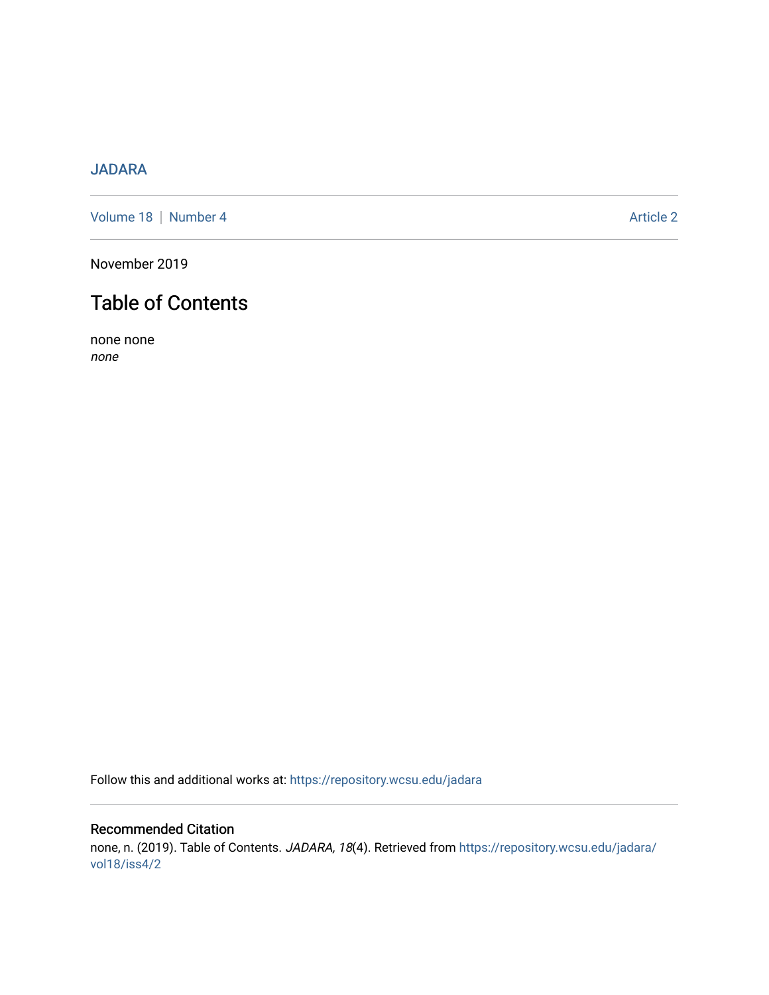## [JADARA](https://repository.wcsu.edu/jadara)

[Volume 18](https://repository.wcsu.edu/jadara/vol18) | [Number 4](https://repository.wcsu.edu/jadara/vol18/iss4) Article 2

November 2019

# Table of Contents

none none none

Follow this and additional works at: [https://repository.wcsu.edu/jadara](https://repository.wcsu.edu/jadara?utm_source=repository.wcsu.edu%2Fjadara%2Fvol18%2Fiss4%2F2&utm_medium=PDF&utm_campaign=PDFCoverPages)

## Recommended Citation none, n. (2019). Table of Contents. JADARA, 18(4). Retrieved from [https://repository.wcsu.edu/jadara/](https://repository.wcsu.edu/jadara/vol18/iss4/2?utm_source=repository.wcsu.edu%2Fjadara%2Fvol18%2Fiss4%2F2&utm_medium=PDF&utm_campaign=PDFCoverPages) [vol18/iss4/2](https://repository.wcsu.edu/jadara/vol18/iss4/2?utm_source=repository.wcsu.edu%2Fjadara%2Fvol18%2Fiss4%2F2&utm_medium=PDF&utm_campaign=PDFCoverPages)